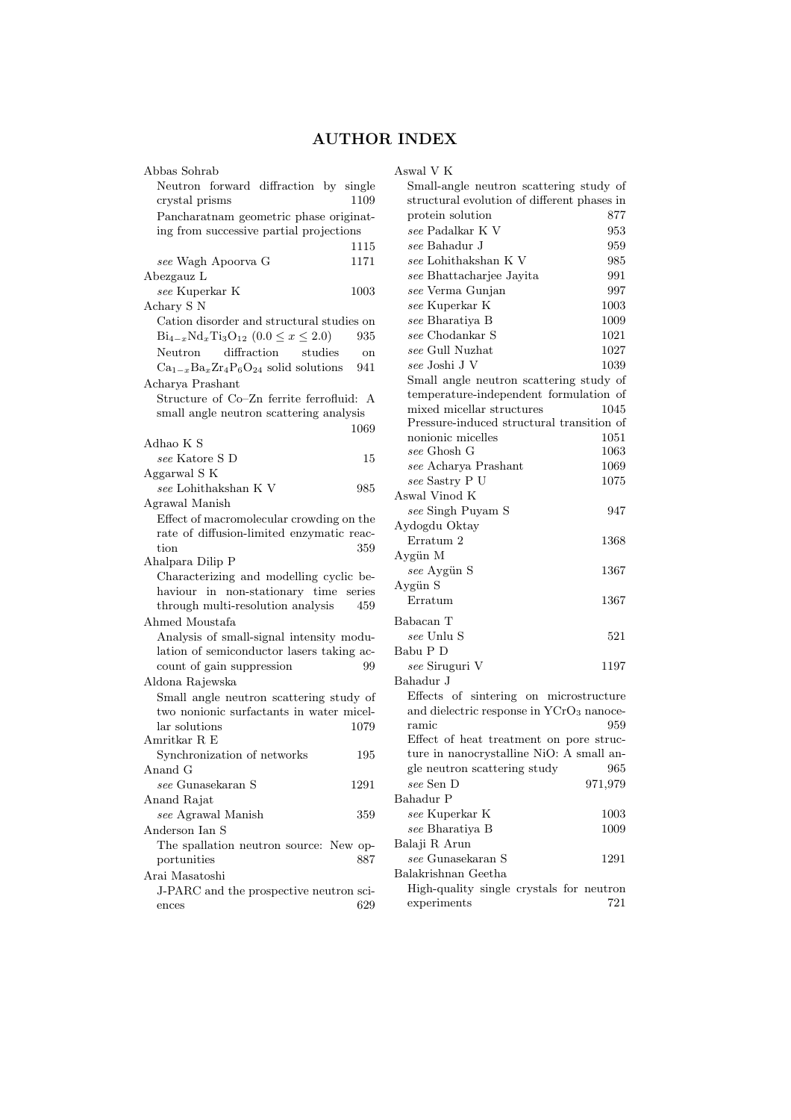## AUTHOR INDEX

| Abbas Sohrab                                                                         | Aswa                       |
|--------------------------------------------------------------------------------------|----------------------------|
| Neutron forward diffraction by single                                                | Sr                         |
| 1109<br>crystal prisms                                                               | stı                        |
| Pancharatnam geometric phase originat-                                               | pr                         |
| ing from successive partial projections                                              | $_{se}$                    |
| 1115                                                                                 | $_{se}$                    |
| see Wagh Apoorva G<br>1171                                                           | $_{se}$                    |
| Abezgauz L                                                                           | $_{se}$                    |
| see Kuperkar K<br>1003                                                               | se                         |
| Achary S <sub>N</sub>                                                                | se                         |
| Cation disorder and structural studies on                                            | $_{se}$                    |
| $Bi_{4-x}Nd_xTi_3O_{12}$ $(0.0 \le x \le 2.0)$<br>935                                | $_{se}$                    |
| diffraction<br>Neutron<br>studies<br>on                                              | $_{se}$                    |
| $Ca_{1-x}Ba_xZr_4P_6O_{24}$ solid solutions<br>941                                   | $_{se}$                    |
| Acharya Prashant                                                                     | Sr                         |
| Structure of Co-Zn ferrite ferrofluid: A                                             | te:                        |
| small angle neutron scattering analysis                                              | m                          |
| 1069                                                                                 | Pr                         |
| Adhao K S                                                                            | nc<br>se                   |
| see Katore S D<br>15                                                                 | se                         |
| Aggarwal S K                                                                         | se                         |
| $see$ Lohithakshan K $\rm{V}$<br>985                                                 | Aswa                       |
| Agrawal Manish                                                                       | $\overline{\mathfrak{se}}$ |
| Effect of macromolecular crowding on the                                             | Ayd                        |
| rate of diffusion-limited enzymatic reac-                                            | Eт                         |
| tion<br>359                                                                          | Aygi                       |
| Ahalpara Dilip P                                                                     | se                         |
| Characterizing and modelling cyclic be-                                              | Aygi                       |
| haviour in non-stationary time<br>series<br>through multi-resolution analysis<br>459 | Eı                         |
| Ahmed Moustafa                                                                       | Baba                       |
| Analysis of small-signal intensity modu-                                             | $\mathcal{S}\mathcal{C}$   |
| lation of semiconductor lasers taking ac-                                            | Babı                       |
| count of gain suppression<br>99                                                      | $\mathcal{S}\mathcal{C}$   |
| Aldona Rajewska                                                                      | Baha                       |
| Small angle neutron scattering study of                                              | Εf                         |
| two nonionic surfactants in water micel-                                             | an                         |
| lar solutions<br>1079                                                                | ra                         |
| Amritkar R E                                                                         | Εf                         |
| Synchronization of networks<br>195                                                   | tu                         |
| Anand G                                                                              | gl                         |
| $see$ Gunasekaran S<br>1291                                                          | se                         |
| Anand Rajat                                                                          | Baha                       |
| see Agrawal Manish<br>359                                                            | $_{se}$                    |
| Anderson Ian S                                                                       | se                         |
| The spallation neutron source: New op-                                               | Bala                       |
| portunities<br>887                                                                   | se                         |
| Arai Masatoshi                                                                       | Bala                       |
| J-PARC and the prospective neutron sci-                                              | Hi                         |
| 629<br>ences                                                                         | ex                         |
|                                                                                      |                            |

| Aswal V K                                            |          |
|------------------------------------------------------|----------|
| Small-angle neutron scattering study of              |          |
| structural evolution of different phases in          |          |
| protein solution                                     | 877      |
| $see$ Padalkar K $V$                                 | 953      |
| see Bahadur J                                        | 959      |
| $see$ Lohithakshan K $\rm V$                         | 985      |
| see Bhattacharjee Jayita                             | 991      |
| see Verma Gunjan                                     | 997      |
|                                                      |          |
| see Kuperkar K                                       | 1003     |
| see Bharatiya B                                      | 1009     |
| see Chodankar S                                      | 1021     |
| see Gull Nuzhat                                      | 1027     |
| see Joshi J V                                        | 1039     |
| Small angle neutron scattering study of              |          |
| temperature-independent formulation of               |          |
| mixed micellar structures                            | 1045     |
| Pressure-induced structural transition of            |          |
| nonionic micelles                                    | 1051     |
| see Ghosh G                                          | 1063     |
| see Acharya Prashant                                 | 1069     |
| see Sastry P U                                       | 1075     |
| Aswal Vinod K                                        |          |
| see Singh Puyam S                                    | 947      |
| Aydogdu Oktay                                        |          |
| Erratum 2                                            | 1368     |
| Aygün M                                              |          |
|                                                      |          |
| see Aygün S                                          | 1367     |
| Aygün S                                              |          |
| Erratum                                              | 1367     |
| Babacan T                                            |          |
| see Unlu S                                           | 521      |
| Babu P D                                             |          |
| see Siruguri V                                       | 1197     |
| Bahadur J                                            |          |
| Effects of sintering on microstructure               |          |
|                                                      |          |
| and dielectric response in YCrO <sub>3</sub> nanoce- |          |
| ramic                                                | 959      |
| Effect of heat treatment on pore struc-              |          |
| ture in nanocrystalline NiO: A small an-             |          |
| gle neutron scattering study                         | 965      |
| see Sen D                                            | 971,979  |
| Bahadur P                                            |          |
| see Kuperkar K                                       | 1003     |
| see Bharatiya B                                      | $1009\,$ |
| Balaji R Arun                                        |          |
| see Gunasekaran S                                    | 1291     |
| Balakrishnan Geetha                                  |          |
| High-quality single crystals for neutron             |          |
| experiments                                          | 721      |
|                                                      |          |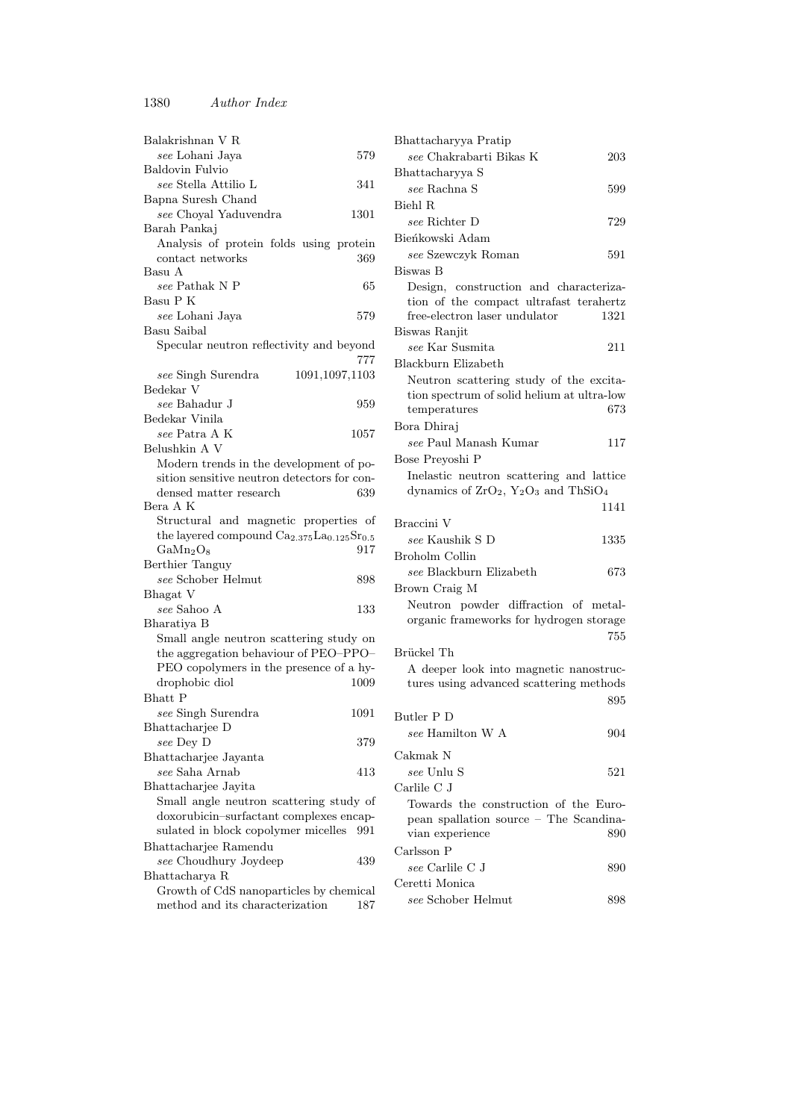| Balakrishnan V R                                                               |      |
|--------------------------------------------------------------------------------|------|
| see Lohani Jaya                                                                | 579  |
| <b>Baldovin Fulvio</b>                                                         |      |
| see Stella Attilio L                                                           | 341  |
| Bapna Suresh Chand                                                             |      |
| see Choyal Yaduvendra                                                          | 1301 |
| Barah Pankaj                                                                   |      |
| Analysis of protein folds using protein                                        |      |
| contact networks                                                               | 369  |
| Basu A                                                                         |      |
| see Pathak N P                                                                 | 65   |
| Basu P K                                                                       |      |
| see Lohani Jaya                                                                | 579  |
| Basu Saibal                                                                    |      |
| Specular neutron reflectivity and beyond                                       |      |
|                                                                                | 777  |
| see Singh Surendra<br>1091,1097,1103                                           |      |
| Bedekar V                                                                      |      |
| see Bahadur J                                                                  | 959  |
| Bedekar Vinila                                                                 |      |
| see Patra A K                                                                  | 1057 |
| Belushkin A V                                                                  |      |
| Modern trends in the development of po-                                        |      |
| sition sensitive neutron detectors for con-<br>densed matter research          |      |
| Bera A K                                                                       | 639  |
| Structural and magnetic properties of                                          |      |
| the layered compound Ca <sub>2.375</sub> La <sub>0.125</sub> Sr <sub>0.5</sub> |      |
| $\text{GaMn}_2\text{O}_8$                                                      | 917  |
| Berthier Tanguy                                                                |      |
| see Schober Helmut                                                             | 898  |
| Bhagat V                                                                       |      |
| see Sahoo A                                                                    | 133  |
| Bharatiya B                                                                    |      |
| Small angle neutron scattering study on                                        |      |
| the aggregation behaviour of PEO-PPO-                                          |      |
| PEO copolymers in the presence of a hy-                                        |      |
| drophobic diol                                                                 | 1009 |
| <b>Bhatt</b> P                                                                 |      |
| see Singh Surendra                                                             | 1091 |
| Bhattacharjee D                                                                |      |
| see Dey D                                                                      | 379  |
| Bhattacharjee Jayanta                                                          |      |
| see Saha Arnab                                                                 | 413  |
| Bhattacharjee Jayita                                                           |      |
| Small angle neutron scattering study of                                        |      |
| doxorubicin-surfactant complexes encap-                                        |      |
| sulated in block copolymer micelles                                            | 991  |
| Bhattacharjee Ramendu                                                          |      |
| see Choudhury Joydeep                                                          | 439  |
| Bhattacharya R                                                                 |      |
| Growth of CdS nanoparticles by chemical                                        |      |
| method and its characterization                                                | 187  |

| Bhattacharyya Pratip                                                            |      |
|---------------------------------------------------------------------------------|------|
| see Chakrabarti Bikas K                                                         | 203  |
| Bhattacharyya S                                                                 |      |
| see Rachna S                                                                    | 599  |
| Biehl R                                                                         |      |
| see Richter D                                                                   | 729  |
| Bieńkowski Adam                                                                 |      |
| see Szewczyk Roman                                                              | 591  |
| Biswas B                                                                        |      |
| Design, construction and characteriza-                                          |      |
| tion of the compact ultrafast terahertz                                         |      |
| free-electron laser undulator                                                   | 1321 |
| Biswas Ranjit                                                                   |      |
| see Kar Susmita                                                                 | 211  |
| Blackburn Elizabeth                                                             |      |
| Neutron scattering study of the excita-                                         |      |
| tion spectrum of solid helium at ultra-low<br>temperatures                      | 673  |
| Bora Dhiraj                                                                     |      |
| see Paul Manash Kumar                                                           | 117  |
| Bose Prevoshi P                                                                 |      |
| Inelastic neutron scattering and lattice                                        |      |
| dynamics of $ZrO_2$ , $Y_2O_3$ and ThSiO <sub>4</sub>                           |      |
|                                                                                 | 1141 |
|                                                                                 |      |
| Braccini V                                                                      |      |
| see Kaushik S D                                                                 | 1335 |
| <b>Broholm Collin</b>                                                           |      |
| see Blackburn Elizabeth                                                         | 673  |
|                                                                                 |      |
| Brown Craig M                                                                   |      |
| Neutron powder diffraction of metal-<br>organic frameworks for hydrogen storage |      |
|                                                                                 | 755  |
| Brückel Th                                                                      |      |
| A deeper look into magnetic nanostruc-                                          |      |
| tures using advanced scattering methods                                         |      |
|                                                                                 | 895  |
| Butler P D                                                                      |      |
| $see$ Hamilton W ${\bf A}$                                                      | 904  |
| Cakmak N                                                                        |      |
| <i>see</i> Unlu S                                                               | 521  |
| Carlile C J                                                                     |      |
| Towards the construction of the Euro-                                           |      |
| pean spallation source - The Scandina-                                          |      |
| vian experience                                                                 | 890  |
| Carlsson P                                                                      |      |
| see Carlile C J                                                                 | 890  |
| Ceretti Monica                                                                  |      |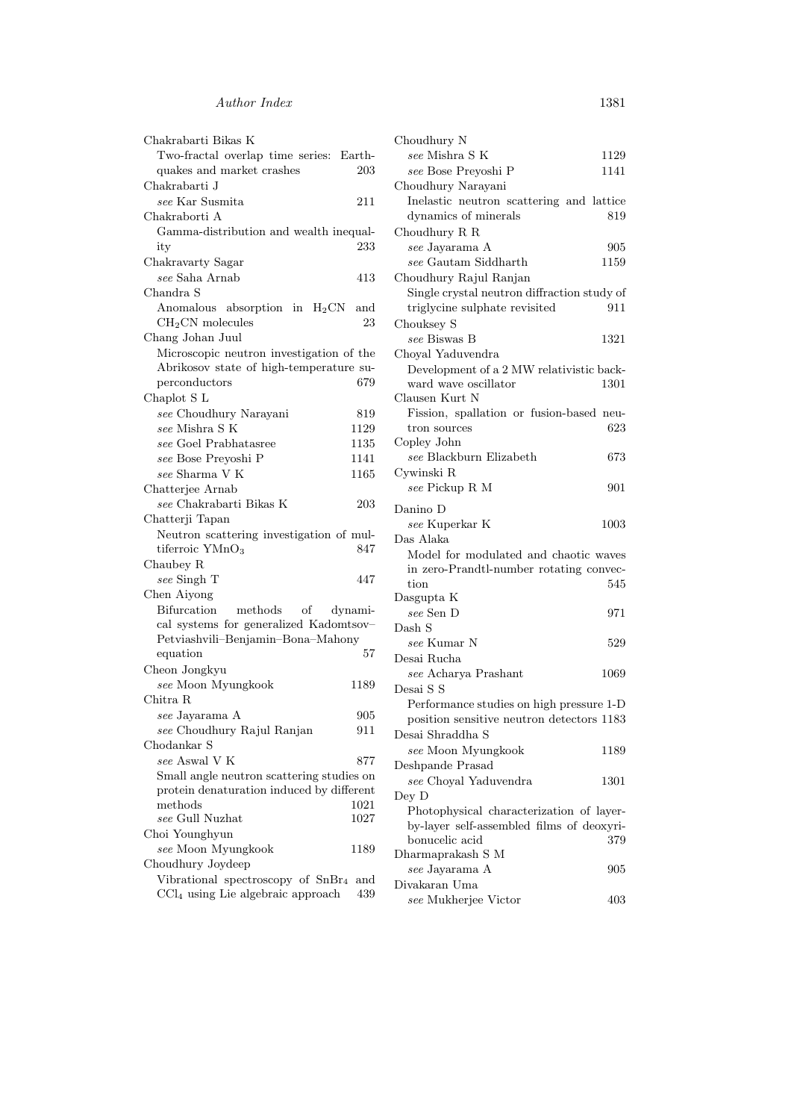| Chakrabarti Bikas K                                                           |
|-------------------------------------------------------------------------------|
| Two-fractal overlap time series: Earth-                                       |
| quakes and market crashes<br>203                                              |
| Chakrabarti J                                                                 |
| see Kar Susmita<br>211                                                        |
| Chakraborti A                                                                 |
| Gamma-distribution and wealth inequal-                                        |
| 233<br>ity                                                                    |
| Chakravarty Sagar                                                             |
| see Saha Arnab<br>413                                                         |
| Chandra S                                                                     |
| Anomalous absorption in $H_2CN$<br>and                                        |
| $CH2CN$ molecules<br>23                                                       |
| Chang Johan Juul                                                              |
| Microscopic neutron investigation of the                                      |
| Abrikosov state of high-temperature su-                                       |
| 679<br>perconductors                                                          |
| Chaplot S L                                                                   |
| see Choudhury Narayani<br>819                                                 |
| see Mishra S K<br>1129                                                        |
| see Goel Prabhatasree<br>1135                                                 |
| see Bose Preyoshi P<br>1141                                                   |
| see Sharma V K<br>1165                                                        |
| Chatterjee Arnab                                                              |
| see Chakrabarti Bikas K<br>203                                                |
| Chatterji Tapan                                                               |
| Neutron scattering investigation of mul-                                      |
| tiferroic YMnO <sub>3</sub><br>847                                            |
| Chaubey R                                                                     |
| see Singh T<br>447                                                            |
| Chen Aiyong                                                                   |
| <b>Bifurcation</b><br>methods<br>οf<br>dynami-                                |
|                                                                               |
|                                                                               |
| cal systems for generalized Kadomtsov-<br>Petviashvili-Benjamin-Bona-Mahony   |
| equation<br>57                                                                |
|                                                                               |
| Cheon Jongkyu<br>1189                                                         |
| see Moon Myungkook<br>Chitra R                                                |
| 905                                                                           |
| see Jayarama A<br>911                                                         |
| see Choudhury Rajul Ranjan<br>Chodankar S                                     |
| see Aswal V K<br>877                                                          |
|                                                                               |
| Small angle neutron scattering studies on                                     |
| protein denaturation induced by different<br>$\operatorname{methods}$<br>1021 |
| see Gull Nuzhat<br>1027                                                       |
| Choi Younghyun                                                                |
| see Moon Myungkook<br>1189                                                    |
| Choudhury Joydeep                                                             |
| Vibrational spectroscopy of SnBr <sub>4</sub><br>and                          |

| Choudhury N                                 |          |
|---------------------------------------------|----------|
| see Mishra S K                              | 1129     |
| see Bose Preyoshi P                         | 1141     |
| Choudhury Narayani                          |          |
| Inelastic neutron scattering and lattice    |          |
| dynamics of minerals                        | 819      |
| Choudhury R R                               |          |
| see Jayarama A                              | 905      |
| see Gautam Siddharth                        | 1159     |
| Choudhury Rajul Ranjan                      |          |
| Single crystal neutron diffraction study of |          |
| triglycine sulphate revisited               | 911      |
| Chouksey S                                  |          |
| see Biswas B                                | 1321     |
| Choyal Yaduvendra                           |          |
| Development of a 2 MW relativistic back-    |          |
| ward wave oscillator                        | 1301     |
| Clausen Kurt N                              |          |
| Fission, spallation or fusion-based neu-    |          |
| tron sources                                | 623      |
| Copley John                                 |          |
| see Blackburn Elizabeth                     | 673      |
| Cywinski R                                  |          |
| see Pickup R M                              | 901      |
|                                             |          |
| Danino D                                    |          |
| see Kuperkar K                              | $1003\,$ |
| Das Alaka                                   |          |
| Model for modulated and chaotic waves       |          |
| in zero-Prandtl-number rotating convec-     |          |
| tion                                        | 545      |
| Dasgupta K                                  |          |
| see Sen D                                   | 971      |
| Dash S                                      |          |
| see Kumar N                                 | 529      |
| Desai Rucha                                 |          |
| see Acharya Prashant                        | 1069     |
| Desai S S                                   |          |
| Performance studies on high pressure 1-D    |          |
| position sensitive neutron detectors 1183   |          |
| Desai Shraddha S                            |          |
| see Moon Myungkook                          | 1189     |
| Deshpande Prasad                            |          |
| see Choyal Yaduvendra                       | 1301     |
| Dey D                                       |          |
| Photophysical characterization of layer-    |          |
| by-layer self-assembled films of deoxyri-   |          |
| bonucelic acid                              | 379      |
| Dharmaprakash S M                           |          |
| see Jayarama A                              | 905      |
| Divakaran Uma                               |          |
| see Mukherjee Victor                        | 403      |
|                                             |          |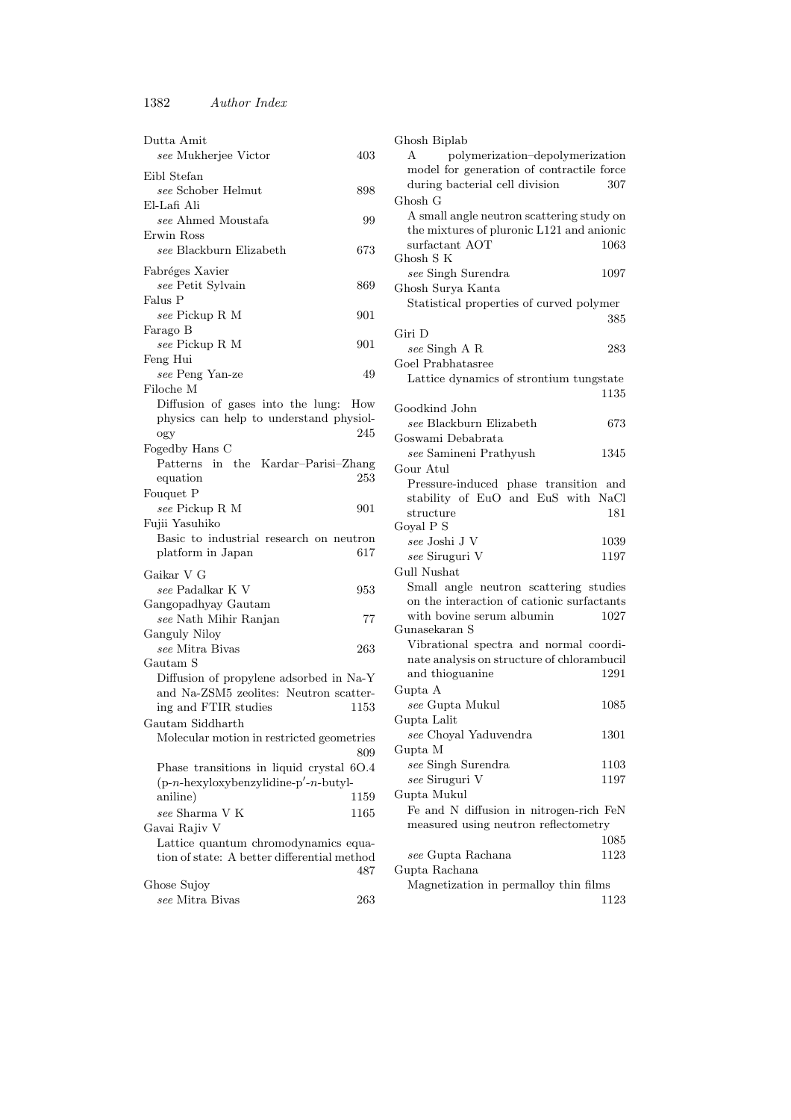1382 Author Index

| Dutta Amit<br>see Mukherjee Victor                            | 403  |
|---------------------------------------------------------------|------|
| Eibl Stefan                                                   |      |
| see Schober Helmut                                            | 898  |
| El-Lafi Ali<br>see Ahmed Moustafa                             |      |
| Erwin Ross                                                    | 99   |
| see Blackburn Elizabeth                                       | 673  |
| Fabréges Xavier                                               |      |
| see Petit Sylvain                                             | 869  |
| Falus P                                                       |      |
| see Pickup R M                                                | 901  |
| Farago B                                                      |      |
| see Pickup R M                                                | 901  |
| Feng Hui<br>see Peng Yan-ze                                   | 49   |
| Filoche M                                                     |      |
| Diffusion of gases into the lung:                             | How  |
| physics can help to understand physiol-                       |      |
| ogy                                                           | 245  |
| Fogedby Hans C                                                |      |
| Patterns in the Kardar-Parisi-Zhang                           |      |
| equation                                                      | 253  |
| Fouquet P<br>see Pickup R M                                   | 901  |
| Fujii Yasuhiko                                                |      |
| Basic to industrial research on neutron                       |      |
| platform in Japan                                             | 617  |
| Gaikar V G                                                    |      |
| see Padalkar K V                                              | 953  |
| Gangopadhyay Gautam                                           |      |
| see Nath Mihir Ranjan                                         | 77   |
| Ganguly Niloy                                                 |      |
| see Mitra Bivas                                               | 263  |
| Gautam S                                                      |      |
| Diffusion of propylene adsorbed in Na-Y                       |      |
| and Na-ZSM5 zeolites: Neutron scatter-                        |      |
| ing and FTIR studies                                          | 1153 |
| Gautam Siddharth<br>Molecular motion in restricted geometries |      |
|                                                               | 809  |
| Phase transitions in liquid crystal 6O.4                      |      |
| $(p-n-hexyloxybenzylidine-p'-n-butyl-$                        |      |
| aniline)                                                      | 1159 |
| see Sharma V K                                                | 1165 |
| Gavai Rajiv V                                                 |      |
| Lattice quantum chromodynamics equa-                          |      |
| tion of state: A better differential method                   | 487  |
| Ghose Sujoy                                                   |      |
| see Mitra Bivas                                               | 263  |

| Ghosh Biplab                                 |      |
|----------------------------------------------|------|
| polymerization-depolymerization              |      |
| model for generation of contractile force    |      |
| during bacterial cell division               | 307  |
| Ghosh G                                      |      |
| A small angle neutron scattering study on    |      |
| the mixtures of pluronic L121 and anionic    |      |
| surfactant AOT                               | 1063 |
| Ghosh S K                                    |      |
| see Singh Surendra                           | 1097 |
| Ghosh Surya Kanta                            |      |
| Statistical properties of curved polymer     |      |
|                                              | 385  |
| Giri D                                       |      |
| see Singh A R                                | 283  |
| Goel Prabhatasree                            |      |
| Lattice dynamics of strontium tungstate      |      |
|                                              | 1135 |
| Goodkind John                                |      |
| see Blackburn Elizabeth<br>Goswami Debabrata | 673  |
| see Samineni Prathyush                       | 1345 |
| Gour Atul                                    |      |
| Pressure-induced phase transition and        |      |
| stability of EuO and EuS with NaCl           |      |
| structure                                    | 181  |
| Goyal P S                                    |      |
| see Joshi J V                                | 1039 |
| see Siruguri V                               | 1197 |
| <b>Gull Nushat</b>                           |      |
| Small angle neutron scattering studies       |      |
| on the interaction of cationic surfactants   |      |
| with bovine serum albumin                    | 1027 |
| Gunasekaran S                                |      |
| Vibrational spectra and normal coordi-       |      |
| nate analysis on structure of chlorambucil   |      |
| and thioguanine                              | 1291 |
| Gupta A                                      |      |
| see Gupta Mukul                              | 1085 |
| Gupta Lalit                                  |      |
| see Choyal Yaduvendra                        | 1301 |
| Gupta M                                      |      |
| see Singh Surendra<br>see Siruguri V         | 1103 |
| Gupta Mukul                                  | 1197 |
| Fe and N diffusion in nitrogen-rich FeN      |      |
| measured using neutron reflectometry         |      |
|                                              | 1085 |
| see Gupta Rachana                            | 1123 |
| Gupta Rachana                                |      |
| Magnetization in permalloy thin films        |      |
|                                              | 1123 |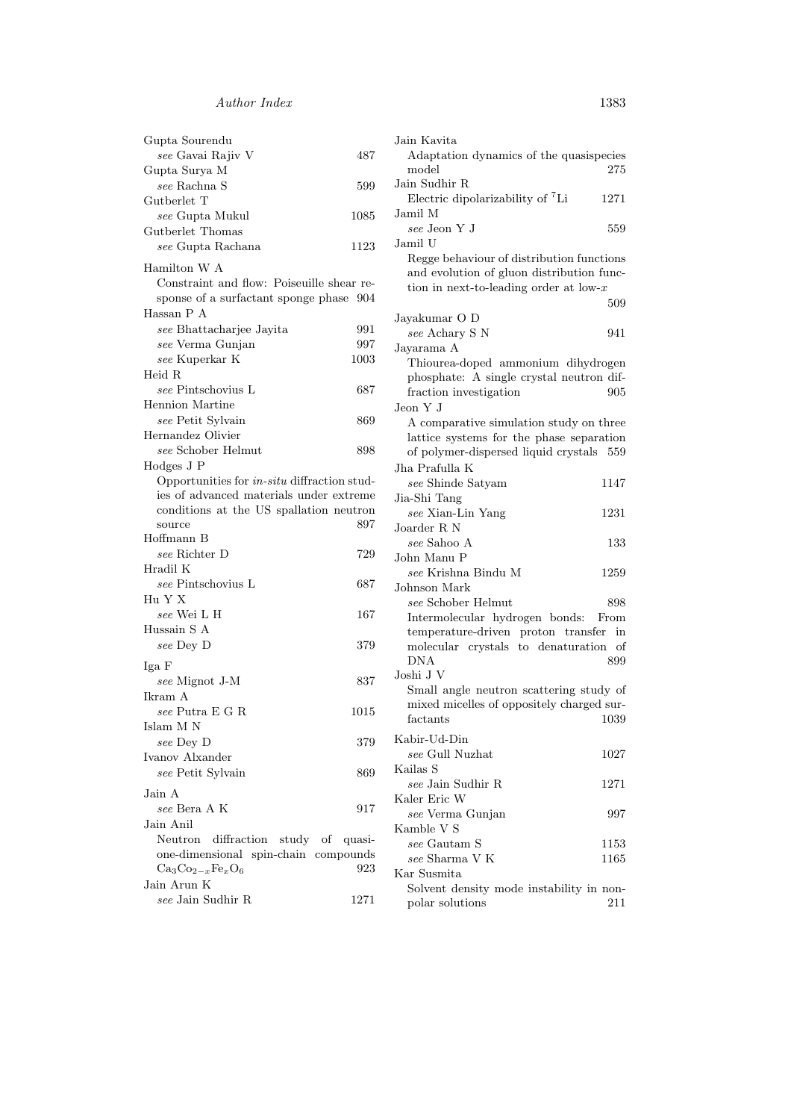| Gupta Sourendu                                     | $J_{\delta}$ |
|----------------------------------------------------|--------------|
| see Gavai Rajiv V<br>487                           |              |
| Gupta Surya M                                      |              |
| see Rachna S<br>599                                | Jέ           |
| Gutberlet T                                        |              |
| see Gupta Mukul<br>1085                            | Jέ           |
| Gutberlet Thomas                                   |              |
| see Gupta Rachana<br>1123                          | Jέ           |
|                                                    |              |
| Hamilton W A                                       |              |
| Constraint and flow: Poiseuille shear re-          |              |
| sponse of a surfactant sponge phase 904            |              |
| Hassan P A                                         | Jέ           |
| see Bhattacharjee Jayita<br>991                    |              |
| see Verma Gunjan<br>997                            | Jε           |
| see Kuperkar K<br>1003                             |              |
| Heid R                                             |              |
| see Pintschovius L<br>687                          |              |
| <b>Hennion</b> Martine                             | Je           |
| see Petit Sylvain<br>869                           |              |
| Hernandez Olivier                                  |              |
| see Schober Helmut<br>898                          |              |
| Hodges J P                                         | Jł           |
| Opportunities for <i>in-situ</i> diffraction stud- |              |
| ies of advanced materials under extreme            | Ji           |
| conditions at the US spallation neutron            |              |
| 897<br>source                                      | J            |
| Hoffmann B                                         |              |
| see Richter D<br>729                               | J            |
| Hradil K                                           |              |
| see Pintschovius L<br>687                          | J            |
| Hu Y X                                             |              |
| see Wei L H<br>167                                 |              |
| Hussain S A                                        |              |
| see Dey D<br>379                                   |              |
|                                                    |              |
| Iga F                                              | Jc           |
| see Mignot J-M<br>837                              |              |
| Ikram A                                            |              |
| see Putra E G R<br>1015                            |              |
| $\rm{Islam}$ M $\rm{N}$                            | Κ            |
| see Dey D<br>379                                   |              |
| Ivanov Alxander                                    | Κ            |
| see Petit Sylvain<br>869                           |              |
| Jain A                                             | Κ            |
| see Bera A K<br>917                                |              |
| Jain Anil                                          | Κ            |
| Neutron<br>diffraction study of<br>quasi-          |              |
| one-dimensional spin-chain compounds               |              |
| $Ca_3Co_{2-x}Fe_xO_6$<br>923                       |              |
| Jain Arun $\mathbf K$                              | Κ            |
| see Jain Sudhir R<br>1271                          |              |
|                                                    |              |

| Jain Kavita                                                                                                                                    |              |
|------------------------------------------------------------------------------------------------------------------------------------------------|--------------|
| Adaptation dynamics of the quasispecies<br>model                                                                                               | 275          |
| Jain Sudhir R<br>Electric dipolarizability of ${}^{7}$ Li                                                                                      | 1271         |
| Jamil M<br>see Jeon Y J                                                                                                                        | 559          |
| Jamil U<br>Regge behaviour of distribution functions<br>and evolution of gluon distribution func-<br>tion in next-to-leading order at low- $x$ |              |
|                                                                                                                                                | 509          |
| Jayakumar O D<br>see Achary S N                                                                                                                | 941          |
| Jayarama A                                                                                                                                     |              |
| Thiourea-doped ammonium dihydrogen                                                                                                             |              |
| phosphate: A single crystal neutron dif-<br>fraction investigation                                                                             | 905          |
| Jeon Y J                                                                                                                                       |              |
| A comparative simulation study on three<br>lattice systems for the phase separation                                                            |              |
| of polymer-dispersed liquid crystals 559                                                                                                       |              |
| Jha Prafulla K                                                                                                                                 |              |
| see Shinde Satyam                                                                                                                              | 1147         |
| Jia-Shi Tang                                                                                                                                   |              |
| see Xian-Lin Yang                                                                                                                              | 1231         |
| Joarder R N                                                                                                                                    |              |
| see Sahoo A                                                                                                                                    | 133          |
| John Manu P                                                                                                                                    |              |
| see Krishna Bindu M                                                                                                                            | 1259         |
| Johnson Mark                                                                                                                                   |              |
| see Schober Helmut                                                                                                                             | 898          |
| Intermolecular hydrogen bonds:                                                                                                                 | From         |
| temperature-driven proton transfer                                                                                                             | in           |
| molecular crystals to denaturation                                                                                                             | οf           |
| <b>DNA</b>                                                                                                                                     | 899          |
| Joshi J V                                                                                                                                      |              |
| Small angle neutron scattering study of                                                                                                        |              |
| mixed micelles of oppositely charged sur-                                                                                                      |              |
| $\operatorname{factants}$                                                                                                                      | 1039         |
| Kabir-Ud-Din                                                                                                                                   |              |
| see Gull Nuzhat                                                                                                                                | 1027         |
| Kailas S                                                                                                                                       |              |
| see Jain Sudhir R                                                                                                                              | 1271         |
| Kaler Eric W                                                                                                                                   |              |
| see Verma Gunjan                                                                                                                               | 997          |
| Kamble V S                                                                                                                                     |              |
| see Gautam S<br>$see$ Sharma V K                                                                                                               | 1153<br>1165 |
| Kar Susmita                                                                                                                                    |              |
| Solvent density mode instability in non-                                                                                                       |              |
| polar solutions                                                                                                                                | 211          |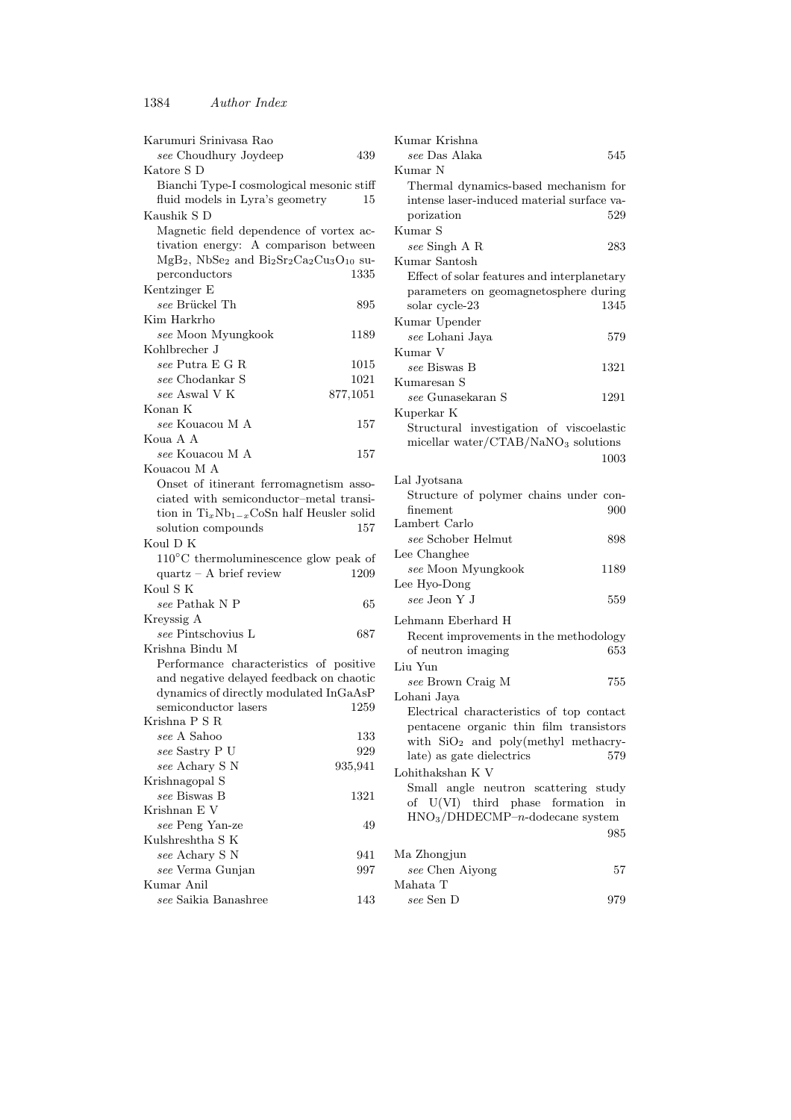| Karumuri Srinivasa Rao                                                                                             |          |
|--------------------------------------------------------------------------------------------------------------------|----------|
| see Choudhury Joydeep                                                                                              | 439      |
| Katore S D                                                                                                         |          |
| Bianchi Type-I cosmological mesonic stiff                                                                          |          |
| fluid models in Lyra's geometry                                                                                    | 15       |
| Kaushik S D                                                                                                        |          |
| Magnetic field dependence of vortex ac-                                                                            |          |
| tivation energy: A comparison between                                                                              |          |
| $MgB2$ , NbSe <sub>2</sub> and Bi <sub>2</sub> Sr <sub>2</sub> Ca <sub>2</sub> Cu <sub>3</sub> O <sub>10</sub> su- |          |
| perconductors                                                                                                      | 1335     |
| Kentzinger E                                                                                                       |          |
| see Brückel Th                                                                                                     |          |
|                                                                                                                    | 895      |
| Kim Harkrho                                                                                                        |          |
| see Moon Myungkook                                                                                                 | 1189     |
| Kohlbrecher J                                                                                                      |          |
| see Putra E G R                                                                                                    | 1015     |
| see Chodankar S                                                                                                    | 1021     |
| see Aswal V K                                                                                                      | 877,1051 |
| Konan K                                                                                                            |          |
| see Kouacou M A                                                                                                    | 157      |
| Koua A A                                                                                                           |          |
| see Kouacou M A                                                                                                    | 157      |
| Kouacou M A                                                                                                        |          |
| Onset of itinerant ferromagnetism asso-                                                                            |          |
| ciated with semiconductor-metal transi-                                                                            |          |
| tion in $Ti_xNb_{1-x}CoSn$ half Heusler solid                                                                      |          |
| solution compounds                                                                                                 | 157      |
| Koul D K                                                                                                           |          |
| $110^{\circ} \mathrm{C}$ thermoluminescence glow peak of                                                           |          |
| $quartz - A brief review$                                                                                          | 1209     |
| Koul S K                                                                                                           |          |
| see Pathak N P                                                                                                     | 65       |
| Kreyssig A                                                                                                         |          |
| see Pintschovius L                                                                                                 | 687      |
| Krishna Bindu M                                                                                                    |          |
| Performance characteristics of positive                                                                            |          |
| and negative delayed feedback on chaotic                                                                           |          |
| dynamics of directly modulated InGaAsP                                                                             |          |
| semiconductor lasers                                                                                               | 1259     |
| Krishna P S R                                                                                                      |          |
| $see$ A Sahoo                                                                                                      | 133      |
| see Sastry P U                                                                                                     | 929      |
| see Achary S N                                                                                                     | 935,941  |
| Krishnagopal S                                                                                                     |          |
| see Biswas B                                                                                                       | 1321     |
| Krishnan E V                                                                                                       |          |
| see Peng Yan-ze                                                                                                    | 49       |
| Kulshreshtha S K                                                                                                   |          |
|                                                                                                                    |          |
| see Achary S N                                                                                                     | 941      |
| see Verma Gunjan                                                                                                   | 997      |
| Kumar Anil                                                                                                         |          |
| see Saikia Banashree                                                                                               | 143      |

| Kumar Krishna                                                                      |      |
|------------------------------------------------------------------------------------|------|
| see Das Alaka                                                                      | 545  |
| Kumar N                                                                            |      |
| Thermal dynamics-based mechanism for                                               |      |
| intense laser-induced material surface va-                                         |      |
| porization                                                                         | 529  |
| Kumar S                                                                            |      |
| see Singh A R                                                                      | 283  |
| Kumar Santosh                                                                      |      |
| Effect of solar features and interplanetary                                        |      |
| parameters on geomagnetosphere during                                              |      |
| solar cycle-23                                                                     | 1345 |
| Kumar Upender                                                                      |      |
| see Lohani Jaya                                                                    | 579  |
| Kumar V                                                                            |      |
| see Biswas B                                                                       | 1321 |
| Kumaresan S                                                                        |      |
| see Gunasekaran S                                                                  | 1291 |
| Kuperkar K                                                                         |      |
| Structural investigation of viscoelastic<br>micellar water/ $CTAB/NaNO3$ solutions |      |
|                                                                                    | 1003 |
|                                                                                    |      |
| Lal Jyotsana                                                                       |      |
| Structure of polymer chains under con-                                             |      |
| finement                                                                           | 900  |
| Lambert Carlo                                                                      |      |
| see Schober Helmut                                                                 | 898  |
| Lee Changhee<br>see Moon Myungkook                                                 | 1189 |
| Lee Hyo-Dong                                                                       |      |
| see Jeon Y J                                                                       | 559  |
|                                                                                    |      |
| Lehmann Eberhard H                                                                 |      |
| Recent improvements in the methodology                                             |      |
| of neutron imaging                                                                 | 653  |
| Liu Yun                                                                            |      |
| see Brown Craig M                                                                  | 755  |
| Lohani Jaya                                                                        |      |
| Electrical characteristics of top contact                                          |      |
| pentacene organic thin film transistors<br>with $SiO2$ and poly(methyl methacry-   |      |
| late) as gate dielectrics                                                          | 579  |
| Lohithakshan K V                                                                   |      |
| Small angle neutron scattering study                                               |      |
| of U(VI) third phase formation in                                                  |      |
| $HNO3/DHDECMP–n-dodecane system$                                                   |      |
|                                                                                    | 985  |
|                                                                                    |      |
| Ma Zhongjun                                                                        |      |
| see Chen Aiyong<br>Mahata T                                                        | 57   |
| see Sen D                                                                          | 979  |
|                                                                                    |      |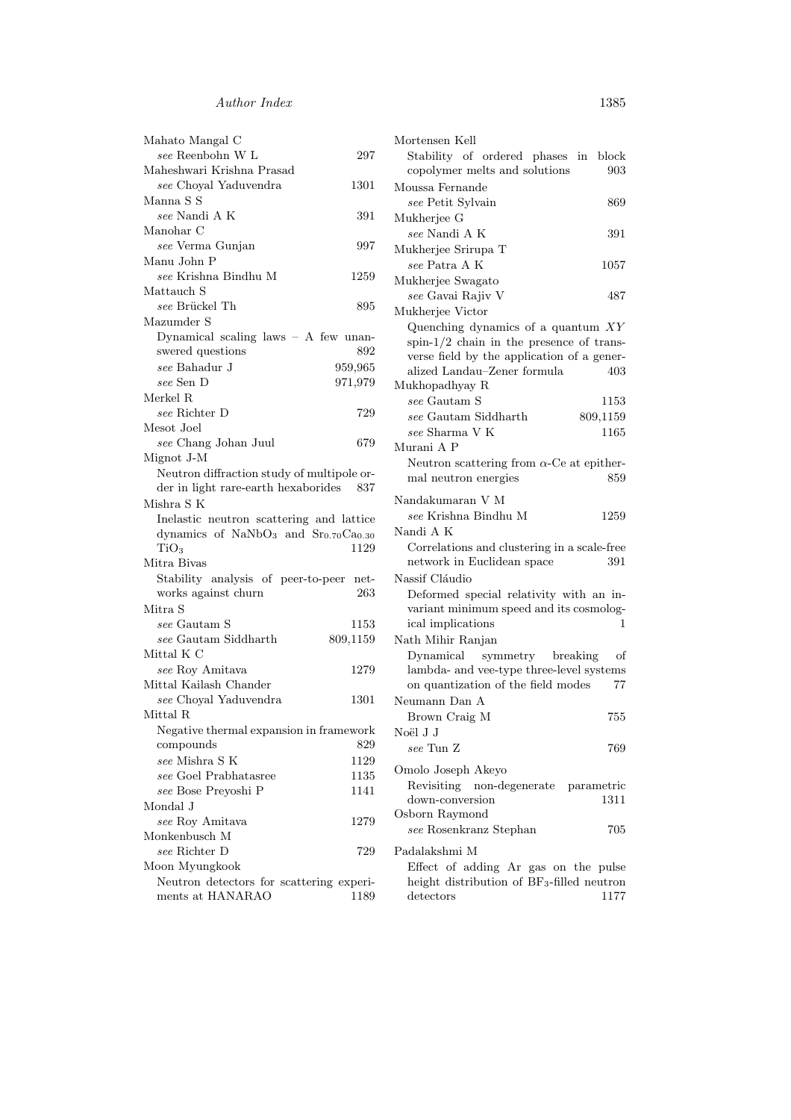| Mahato Mangal C                                                     |          |
|---------------------------------------------------------------------|----------|
| see Reenbohn W L                                                    | 297      |
| Maheshwari Krishna Prasad                                           |          |
| see Choyal Yaduvendra                                               | 1301     |
| Manna S S                                                           |          |
| see Nandi A K                                                       | 391      |
| Manohar C                                                           |          |
| see Verma Gunjan                                                    | 997      |
| Manu John P                                                         |          |
| see Krishna Bindhu M                                                | 1259     |
| Mattauch S                                                          |          |
| see Brückel Th                                                      | 895      |
| Mazumder S                                                          |          |
| Dynamical scaling laws $-$ A few unan-                              |          |
| swered questions                                                    | 892      |
| see Bahadur J                                                       | 959,965  |
| see Sen D                                                           | 971,979  |
| Merkel R                                                            |          |
| see Richter D                                                       | 729      |
| Mesot Joel                                                          |          |
| see Chang Johan Juul                                                | 679      |
| Mignot J-M                                                          |          |
| Neutron diffraction study of multipole or-                          |          |
| der in light rare-earth hexaborides                                 | - 837    |
| Mishra S K                                                          |          |
| Inelastic neutron scattering and lattice                            |          |
| dynamics of $\text{NaNbO}_3$ and $\text{Sr}_{0.70}\text{Ca}_{0.30}$ |          |
| TiO <sub>3</sub>                                                    | 1129     |
| Mitra Bivas                                                         |          |
| Stability analysis of peer-to-peer net-                             |          |
| works against churn                                                 | 263      |
| Mitra S                                                             |          |
| see Gautam S                                                        | 1153     |
| see Gautam Siddharth                                                | 809,1159 |
| Mittal K C                                                          |          |
| see Roy Amitava                                                     | 1279     |
| Mittal Kailash Chander                                              |          |
| see Choyal Yaduvendra                                               | 1301     |
| Mittal R                                                            |          |
| Negative thermal expansion in framework                             |          |
| compounds                                                           | 829      |
| see Mishra S K                                                      | 1129     |
| see Goel Prabhatasree                                               | 1135     |
| see Bose Preyoshi P                                                 | 1141     |
| Mondal J                                                            |          |
| see Roy Amitava                                                     | 1279     |
| Monkenbusch M                                                       |          |
| see Richter D                                                       |          |
|                                                                     | 729      |
| Moon Myungkook                                                      |          |
| Neutron detectors for scattering experi-                            |          |
| ments at HANARAO                                                    | 1189     |

| Mortensen Kell                                         |
|--------------------------------------------------------|
| Stability of ordered phases in block                   |
| copolymer melts and solutions<br>903                   |
| Moussa Fernande                                        |
| see Petit Sylvain                                      |
| 869                                                    |
| Mukherjee G                                            |
| see Nandi A K<br>391                                   |
| Mukherjee Srirupa T                                    |
| see Patra A K<br>1057                                  |
| Mukherjee Swagato                                      |
| see Gavai Rajiv V<br>487                               |
| Mukherjee Victor                                       |
| Quenching dynamics of a quantum $XY$                   |
| spin- $1/2$ chain in the presence of trans-            |
| verse field by the application of a gener-             |
| alized Landau-Zener formula<br>403                     |
| Mukhopadhyay R                                         |
| <i>see</i> Gautam S<br>1153                            |
| see Gautam Siddharth<br>809,1159                       |
| $see$ Sharma $V$ K<br>1165                             |
| Murani A P                                             |
|                                                        |
| Neutron scattering from $\alpha$ -Ce at epither-       |
| mal neutron energies<br>859                            |
| Nandakumaran V M                                       |
| see Krishna Bindhu M<br>1259                           |
| Nandi A K                                              |
| Correlations and clustering in a scale-free            |
| network in Euclidean space<br>391                      |
| Nassif Cláudio                                         |
|                                                        |
| Deformed special relativity with an in-                |
| variant minimum speed and its cosmolog-                |
| ical implications<br>1                                 |
| Nath Mihir Ranjan                                      |
| Dynamical symmetry breaking<br>οf                      |
| lambda- and vee-type three-level systems               |
| on quantization of the field modes<br>77               |
| Neumann Dan A                                          |
| Brown Craig M<br>755                                   |
| Noël J J                                               |
| see Tun Z<br>769                                       |
|                                                        |
| Omolo Joseph Akeyo                                     |
| Revisiting non-degenerate parametric                   |
| 1311<br>down-conversion                                |
| Osborn Raymond                                         |
| see Rosenkranz Stephan<br>705                          |
| Padalakshmi M                                          |
| Effect of adding Ar gas on the pulse                   |
| height distribution of BF <sub>3</sub> -filled neutron |
| detectors<br>1177                                      |
|                                                        |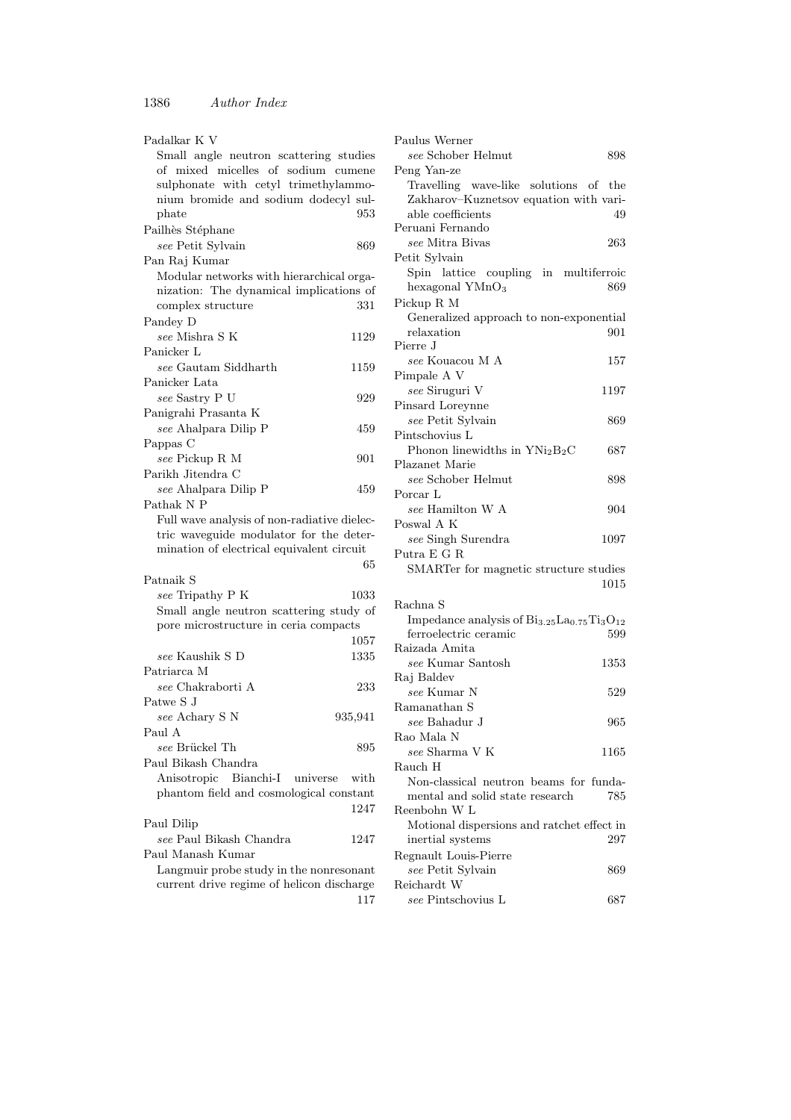| Padalkar K V                                                                                                                                                                   |         |
|--------------------------------------------------------------------------------------------------------------------------------------------------------------------------------|---------|
| Small angle neutron scattering studies<br>of mixed micelles of sodium cumene<br>sulphonate with cetyl trimethylammo-<br>nium bromide and sodium dodecyl sul-<br>$_{\rm plate}$ | 953     |
| Pailhès Stéphane                                                                                                                                                               |         |
| see Petit Sylvain                                                                                                                                                              | 869     |
| Pan Raj Kumar                                                                                                                                                                  |         |
| Modular networks with hierarchical orga-                                                                                                                                       |         |
| nization: The dynamical implications of                                                                                                                                        |         |
| complex structure                                                                                                                                                              | 331     |
| Pandey D                                                                                                                                                                       |         |
| see Mishra S K                                                                                                                                                                 |         |
|                                                                                                                                                                                | 1129    |
| Panicker L                                                                                                                                                                     |         |
| see Gautam Siddharth                                                                                                                                                           | 1159    |
| Panicker Lata                                                                                                                                                                  |         |
| see Sastry P U                                                                                                                                                                 | 929     |
| Panigrahi Prasanta K                                                                                                                                                           |         |
| see Ahalpara Dilip P                                                                                                                                                           | 459     |
| Pappas C                                                                                                                                                                       |         |
| see Pickup R M                                                                                                                                                                 | 901     |
| Parikh Jitendra C                                                                                                                                                              |         |
| see Ahalpara Dilip P                                                                                                                                                           | 459     |
| Pathak N P                                                                                                                                                                     |         |
| Full wave analysis of non-radiative dielec-                                                                                                                                    |         |
| tric waveguide modulator for the deter-                                                                                                                                        |         |
| mination of electrical equivalent circuit                                                                                                                                      |         |
|                                                                                                                                                                                | 65      |
| Patnaik S                                                                                                                                                                      |         |
|                                                                                                                                                                                |         |
| see Tripathy P K                                                                                                                                                               | 1033    |
| Small angle neutron scattering study of                                                                                                                                        |         |
| pore microstructure in ceria compacts                                                                                                                                          |         |
|                                                                                                                                                                                | 1057    |
| see Kaushik S D                                                                                                                                                                | 1335    |
| Patriarca M                                                                                                                                                                    |         |
| see Chakraborti A                                                                                                                                                              | 233     |
| Patwe S J                                                                                                                                                                      |         |
| see Achary S N                                                                                                                                                                 | 935,941 |
| Paul A                                                                                                                                                                         |         |
| see Brückel Th                                                                                                                                                                 | 895     |
| Paul Bikash Chandra                                                                                                                                                            |         |
| Anisotropic Bianchi-I universe                                                                                                                                                 | with    |
| phantom field and cosmological constant                                                                                                                                        |         |
|                                                                                                                                                                                | 1247    |
|                                                                                                                                                                                |         |
| Paul Dilip<br>see Paul Bikash Chandra                                                                                                                                          |         |
|                                                                                                                                                                                | 1247    |
| Paul Manash Kumar                                                                                                                                                              |         |
| Langmuir probe study in the nonresonant                                                                                                                                        |         |
| current drive regime of helicon discharge                                                                                                                                      |         |
|                                                                                                                                                                                | 117     |

| Paulus Werner                                        |      |
|------------------------------------------------------|------|
| see Schober Helmut                                   | 898  |
| Peng Yan-ze                                          |      |
| Travelling wave-like solutions of the                |      |
| Zakharov-Kuznetsov equation with vari-               |      |
| able coefficients                                    | 49   |
| Peruani Fernando                                     |      |
| see Mitra Bivas                                      | 263  |
|                                                      |      |
| Petit Sylvain                                        |      |
| Spin lattice coupling in multiferroic                |      |
| hexagonal YMnO <sub>3</sub>                          | 869  |
| Pickup R M                                           |      |
| Generalized approach to non-exponential              |      |
| relaxation                                           | 901  |
| Pierre J                                             |      |
| see Kouacou M A                                      | 157  |
| Pimpale A V                                          |      |
| see Siruguri V                                       | 1197 |
| Pinsard Loreynne                                     |      |
| see Petit Sylvain                                    | 869  |
| Pintschovius L                                       |      |
|                                                      |      |
| Phonon linewidths in $YNi2B2C$                       | 687  |
| Plazanet Marie                                       |      |
| see Schober Helmut                                   | 898  |
| Porcar L                                             |      |
| see Hamilton W A                                     | 904  |
| Poswal A K                                           |      |
| see Singh Surendra                                   | 1097 |
| Putra E G R                                          |      |
| SMARTer for magnetic structure studies               |      |
|                                                      | 1015 |
|                                                      |      |
| Rachna S                                             |      |
| Impedance analysis of $Bi_{3.25}La_{0.75}Ti_3O_{12}$ |      |
| ferroelectric ceramic                                | 599  |
| Raizada Amita                                        |      |
| see Kumar Santosh                                    | 1353 |
| Raj Baldev                                           |      |
| see Kumar N                                          | 529  |
| Ramanathan S                                         |      |
| $see$ Bahadur J                                      | 965  |
| Rao Mala N                                           |      |
| see Sharma V K                                       | 1165 |
|                                                      |      |
| Rauch H                                              |      |
| Non-classical neutron beams for funda-               |      |
| mental and solid state research                      | 785  |
| Reenbohn W L                                         |      |
| Motional dispersions and ratchet effect in           |      |
| inertial systems                                     | 297  |
| Regnault Louis-Pierre                                |      |
| see Petit Sylvain                                    | 869  |
| Reichardt W                                          |      |
| see Pintschovius L                                   | 687  |
|                                                      |      |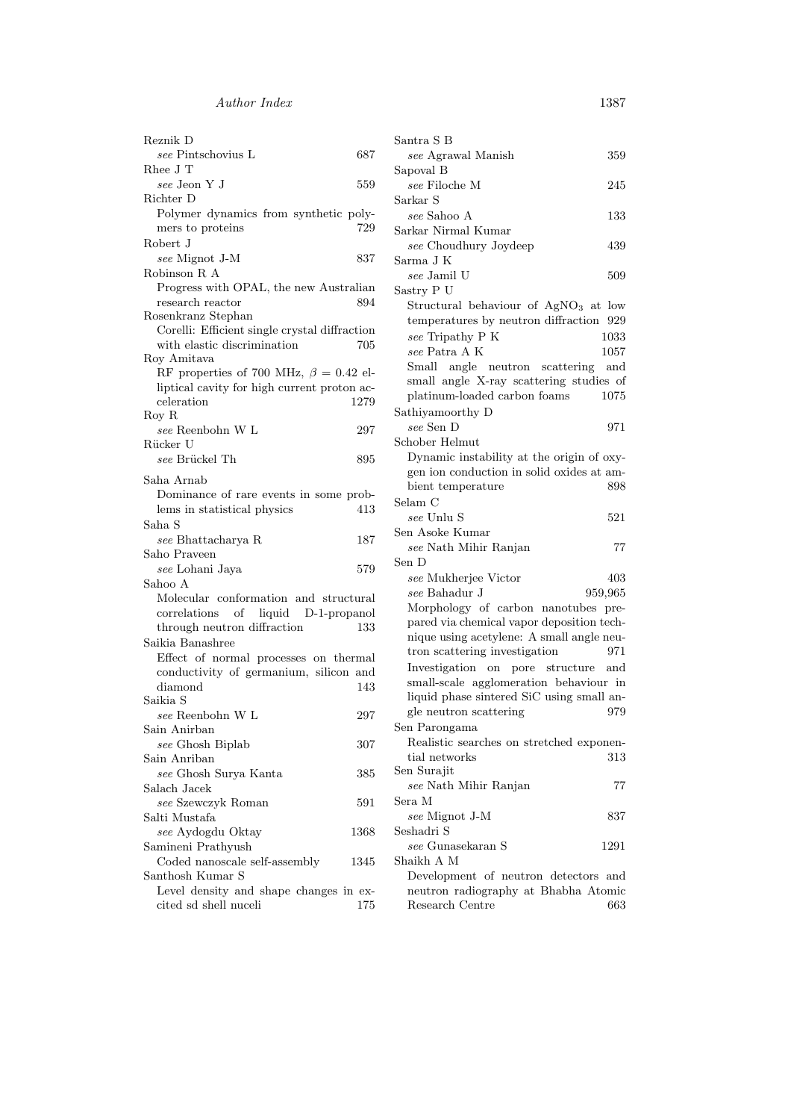| Reznik D                                                        |      |
|-----------------------------------------------------------------|------|
| see Pintschovius L                                              | 687  |
| Rhee J T                                                        |      |
| see Jeon Y J                                                    | 559  |
| Richter D                                                       |      |
| Polymer dynamics from synthetic poly-                           |      |
| mers to proteins                                                | 729  |
| Robert J                                                        |      |
| see Mignot J-M                                                  | 837  |
| Robinson R.A.                                                   |      |
| Progress with OPAL, the new Australian                          |      |
| research reactor                                                | 894  |
| Rosenkranz Stephan                                              |      |
| Corelli: Efficient single crystal diffraction                   |      |
| with elastic discrimination                                     | 705  |
| Roy Amitava                                                     |      |
| RF properties of 700 MHz, $\beta = 0.42$ el-                    |      |
| liptical cavity for high current proton ac-                     |      |
| celeration                                                      | 1279 |
| Roy R<br>$see$ Reenbohn W L                                     |      |
|                                                                 | 297  |
| Rücker U<br>see Brückel Th                                      |      |
|                                                                 | 895  |
| Saha Arnab                                                      |      |
| Dominance of rare events in some prob-                          |      |
| lems in statistical physics                                     | 413  |
| Saha S                                                          |      |
| see Bhattacharya R                                              | 187  |
| Saho Praveen                                                    |      |
| see Lohani Jaya                                                 | 579  |
| Sahoo A                                                         |      |
| Molecular conformation and structural                           |      |
| correlations<br>of liquid D-1-propanol                          |      |
| through neutron diffraction                                     | 133  |
| Saikia Banashree                                                |      |
| Effect of normal processes on thermal                           |      |
| conductivity of germanium, silicon and                          |      |
| diamond                                                         | 143  |
| Saikia S                                                        |      |
| see Reenbohn W L                                                | 297  |
| Sain Anirban                                                    |      |
| see Ghosh Biplab                                                | 307  |
| Sain Anriban                                                    |      |
| see Ghosh Surya Kanta                                           | 385  |
| Salach Jacek                                                    |      |
| see Szewczyk Roman                                              | 591  |
| Salti Mustafa                                                   |      |
| see Aydogdu Oktay                                               | 1368 |
| Samineni Prathyush                                              |      |
| Coded nanoscale self-assembly                                   | 1345 |
| Santhosh Kumar S                                                |      |
| Level density and shape changes in ex-<br>cited sd shell nuceli |      |
|                                                                 | 175  |

| Santra S B                                       |         |
|--------------------------------------------------|---------|
| see Agrawal Manish                               | 359     |
| Sapoval B                                        |         |
| see Filoche M                                    | 245     |
| Sarkar S                                         |         |
| see Sahoo A                                      | 133     |
| Sarkar Nirmal Kumar                              |         |
| see Choudhury Joydeep                            | 439     |
| Sarma J K                                        |         |
| see Jamil U                                      | 509     |
| Sastry P U                                       |         |
| Structural behaviour of AgNO <sub>3</sub> at low |         |
| temperatures by neutron diffraction              | 929     |
| see Tripathy P K                                 | 1033    |
| see Patra A K                                    | 1057    |
| Small angle neutron scattering                   | and     |
| small angle X-ray scattering studies of          |         |
| platinum-loaded carbon foams                     | 1075    |
| Sathiyamoorthy D                                 |         |
| see Sen D                                        | 971     |
| Schober Helmut                                   |         |
|                                                  |         |
| Dynamic instability at the origin of oxy-        |         |
| gen ion conduction in solid oxides at am-        |         |
| bient temperature                                | 898     |
| Selam C                                          |         |
| see Unlu S                                       | 521     |
| Sen Asoke Kumar                                  |         |
| see Nath Mihir Ranjan                            | 77      |
| Sen D                                            |         |
| see Mukherjee Victor                             | 403     |
| see Bahadur J                                    | 959,965 |
| Morphology of carbon nanotubes pre-              |         |
| pared via chemical vapor deposition tech-        |         |
| nique using acetylene: A small angle neu-        |         |
| tron scattering investigation                    | 971     |
| Investigation on pore structure                  | and     |
| small-scale agglomeration behaviour in           |         |
| liquid phase sintered SiC using small an-        |         |
| gle neutron scattering                           | 979     |
| Sen Parongama                                    |         |
| Realistic searches on stretched exponen-         |         |
| tial networks                                    |         |
| Sen Surajit                                      | 313     |
|                                                  |         |
| see Nath Mihir Ranjan                            | 77      |
| Sera M                                           |         |
| see Mignot J-M                                   | 837     |
| Seshadri S                                       |         |
| see Gunasekaran S                                | 1291    |
| Shaikh A M                                       |         |
| Development of neutron detectors and             |         |
| neutron radiography at Bhabha Atomic             |         |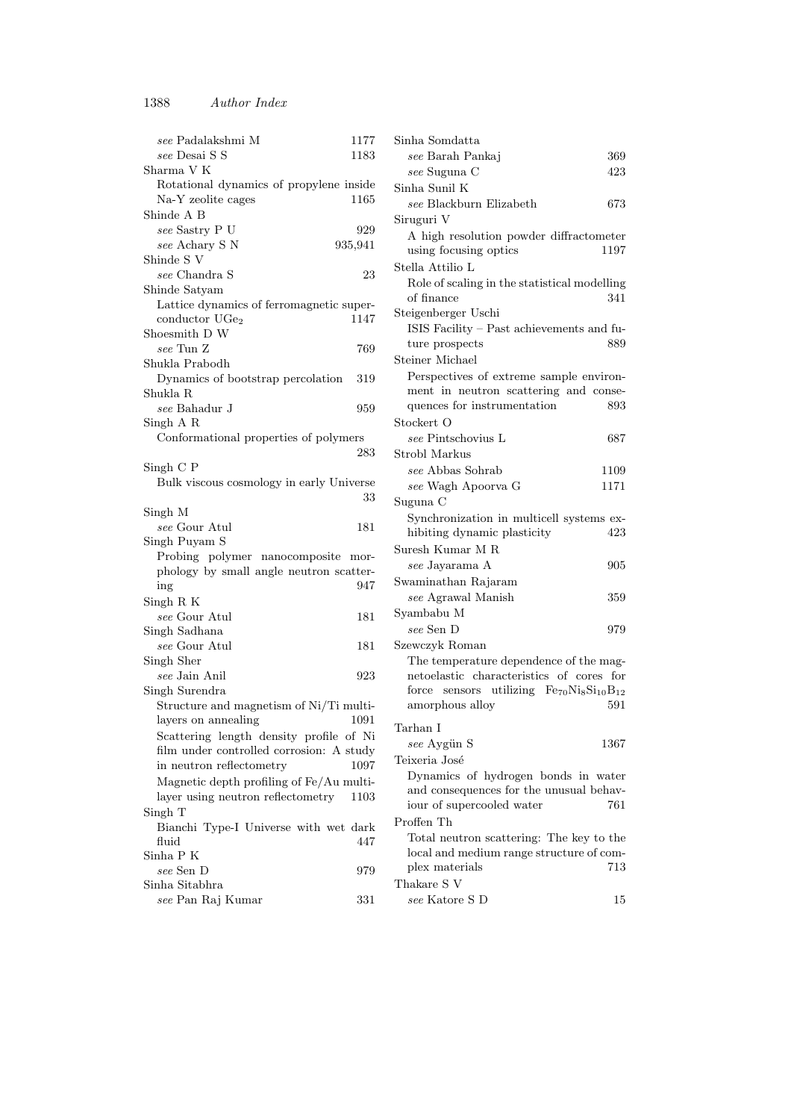| see Padalakshmi M<br>see Desai S S                            | 1177<br>1183 |
|---------------------------------------------------------------|--------------|
| Sharma V K                                                    |              |
| Rotational dynamics of propylene inside<br>Na-Y zeolite cages | 1165         |
| Shinde A B                                                    |              |
| see Sastry P U                                                | 929          |
| see Achary S N                                                | 935,941      |
| Shinde S V                                                    |              |
| see Chandra S                                                 | 23           |
| Shinde Satyam                                                 |              |
| Lattice dynamics of ferromagnetic super-                      |              |
| conductor UGe <sub>2</sub>                                    | 1147         |
| Shoesmith D W                                                 |              |
| see Tun Z                                                     | 769          |
| Shukla Prabodh                                                |              |
| Dynamics of bootstrap percolation                             | 319          |
| Shukla R                                                      |              |
| see Bahadur J                                                 |              |
| Singh A R                                                     | 959          |
| Conformational properties of polymers                         |              |
|                                                               | 283          |
|                                                               |              |
| Singh C P                                                     |              |
| Bulk viscous cosmology in early Universe                      |              |
|                                                               | 33           |
| Singh M                                                       |              |
| see Gour Atul                                                 | 181          |
| Singh Puyam S                                                 |              |
| Probing polymer nanocomposite mor-                            |              |
| phology by small angle neutron scatter-                       |              |
| ing                                                           | 947          |
| Singh R K                                                     |              |
| see Gour Atul                                                 | 181          |
| Singh Sadhana                                                 |              |
| see Gour Atul                                                 | 181          |
| Singh Sher                                                    |              |
| see Jain Anil                                                 | 923          |
| Singh Surendra                                                |              |
| Structure and magnetism of Ni/Ti multi-                       |              |
| layers on annealing                                           | 1091         |
| Scattering length density profile of Ni                       |              |
| film under controlled corrosion: A study                      |              |
| in neutron reflectometry                                      | 1097         |
| Magnetic depth profiling of Fe/Au multi-                      |              |
| layer using neutron reflectometry                             | 1103         |
| Singh T                                                       |              |
| Bianchi Type-I Universe with wet dark                         |              |
| fluid                                                         | 447          |
| $\mathop{\rm Sinha}\nolimits$ P K                             |              |
| see Sen D                                                     | 979          |
| Sinha Sitabhra                                                |              |
| see Pan Raj Kumar                                             | 331          |
|                                                               |              |

| Sinha Somdatta                                                          |      |
|-------------------------------------------------------------------------|------|
| see Barah Pankaj                                                        | 369  |
| see Suguna C                                                            | 423  |
| Sinha Sunil K                                                           |      |
| see Blackburn Elizabeth                                                 | 673  |
| Siruguri V                                                              |      |
| A high resolution powder diffractometer                                 |      |
| using focusing optics                                                   | 1197 |
| Stella Attilio L                                                        |      |
| Role of scaling in the statistical modelling                            |      |
| of finance                                                              | 341  |
| Steigenberger Uschi                                                     |      |
| ISIS Facility - Past achievements and fu-                               |      |
| ture prospects                                                          | 889  |
| Steiner Michael                                                         |      |
| Perspectives of extreme sample environ-                                 |      |
| ment in neutron scattering and conse-                                   |      |
| quences for instrumentation                                             | 893  |
| Stockert O                                                              |      |
| see Pintschovius L                                                      | 687  |
| Strobl Markus                                                           |      |
| see Abbas Sohrab                                                        | 1109 |
| see Wagh Apoorva G                                                      | 1171 |
| Suguna C                                                                |      |
|                                                                         |      |
| Synchronization in multicell systems ex-<br>hibiting dynamic plasticity | 423  |
|                                                                         |      |
| Suresh Kumar M R                                                        |      |
| see Jayarama A                                                          | 905  |
| Swaminathan Rajaram                                                     |      |
| see Agrawal Manish                                                      | 359  |
| Syambabu M                                                              |      |
| see Sen D                                                               | 979  |
| Szewczyk Roman                                                          |      |
| The temperature dependence of the mag-                                  |      |
| netoelastic characteristics of cores for                                |      |
| force sensors utilizing $Fe_{70}Ni_8Si_{10}B_{12}$                      |      |
| amorphous alloy                                                         | 591  |
| Tarhan I                                                                |      |
| see Aygün S                                                             | 1367 |
| Teixeria José                                                           |      |
| Dynamics of hydrogen bonds in water                                     |      |
| and consequences for the unusual behav-                                 |      |
| iour of supercooled water                                               | 761  |
| Proffen Th                                                              |      |
| Total neutron scattering: The key to the                                |      |
| local and medium range structure of com-                                |      |
| plex materials                                                          | 713  |
| Thakare S <sub>V</sub>                                                  |      |
| $see$ Katore S D                                                        | 15   |
|                                                                         |      |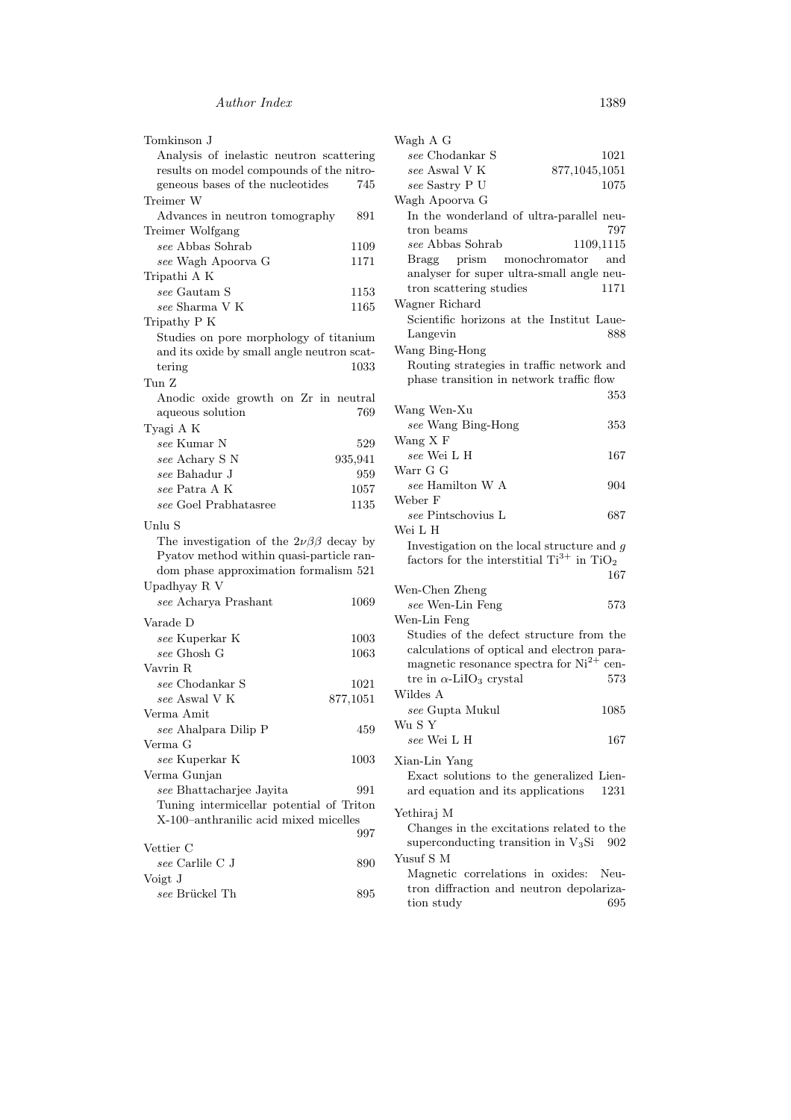| Tomkinson J                                                                                                                                                                               |          |
|-------------------------------------------------------------------------------------------------------------------------------------------------------------------------------------------|----------|
| Analysis of inelastic neutron scattering                                                                                                                                                  |          |
| results on model compounds of the nitro-                                                                                                                                                  |          |
| geneous bases of the nucleotides                                                                                                                                                          | 745      |
| Treimer W                                                                                                                                                                                 |          |
| Advances in neutron tomography                                                                                                                                                            | 891      |
| Treimer Wolfgang                                                                                                                                                                          |          |
| see Abbas Sohrab                                                                                                                                                                          | 1109     |
| see Wagh Apoorva G                                                                                                                                                                        | 1171     |
| Tripathi A K                                                                                                                                                                              |          |
| see Gautam S                                                                                                                                                                              | 1153     |
| see Sharma V K                                                                                                                                                                            | 1165     |
| Tripathy P K                                                                                                                                                                              |          |
| Studies on pore morphology of titanium                                                                                                                                                    |          |
| and its oxide by small angle neutron scat-                                                                                                                                                |          |
| tering                                                                                                                                                                                    | 1033     |
|                                                                                                                                                                                           |          |
| Tun Z                                                                                                                                                                                     |          |
| Anodic oxide growth on Zr in neutral                                                                                                                                                      |          |
| aqueous solution                                                                                                                                                                          | 769      |
| Tyagi A K                                                                                                                                                                                 |          |
| see Kumar N                                                                                                                                                                               | 529      |
| see Achary S N                                                                                                                                                                            | 935,941  |
| see Bahadur J                                                                                                                                                                             | 959      |
| see Patra A K                                                                                                                                                                             | 1057     |
| see Goel Prabhatasree                                                                                                                                                                     | 1135     |
| Unlu S<br>The investigation of the $2\nu\beta\beta$ decay by<br>Pyatov method within quasi-particle ran-<br>dom phase approximation formalism 521<br>Upadhyay R V<br>see Acharya Prashant | $1069\,$ |
| Varade D                                                                                                                                                                                  |          |
| see Kuperkar K                                                                                                                                                                            | $1003\,$ |
| see Ghosh G                                                                                                                                                                               | 1063     |
| Vavrin R                                                                                                                                                                                  |          |
| $see$ Chodankar $\mathcal S$                                                                                                                                                              | 1021     |
| see Aswal V K                                                                                                                                                                             | 877,1051 |
| Verma Amit                                                                                                                                                                                |          |
| see Ahalpara Dilip P                                                                                                                                                                      | 459      |
| Verma G                                                                                                                                                                                   |          |
| see Kuperkar K                                                                                                                                                                            | $1003\,$ |
| Verma Gunjan                                                                                                                                                                              |          |
| see Bhattacharjee Jayita                                                                                                                                                                  | 991      |
| Tuning intermicellar potential of Triton                                                                                                                                                  |          |
| X-100-anthranilic acid mixed micelles                                                                                                                                                     |          |
|                                                                                                                                                                                           | 997      |
| Vettier C                                                                                                                                                                                 |          |
| see Carlile C J                                                                                                                                                                           | 890      |
| Voigt J                                                                                                                                                                                   |          |
| see Brückel Th                                                                                                                                                                            | 895      |
|                                                                                                                                                                                           |          |

| Wagh A G                                                                                          |               |
|---------------------------------------------------------------------------------------------------|---------------|
| see Chodankar S                                                                                   | 1021          |
| see Aswal V K                                                                                     | 877,1045,1051 |
| see Sastry P U                                                                                    | 1075          |
| Wagh Apoorva G                                                                                    |               |
| In the wonderland of ultra-parallel neu-<br>tron beams                                            | 797           |
| see Abbas Sohrab                                                                                  | 1109,1115     |
| Bragg prism monochromator and                                                                     |               |
| analyser for super ultra-small angle neu-                                                         |               |
| tron scattering studies                                                                           | 1171          |
| Wagner Richard                                                                                    |               |
| Scientific horizons at the Institut Laue-                                                         |               |
| Langevin                                                                                          | 888           |
| Wang Bing-Hong                                                                                    |               |
| Routing strategies in traffic network and<br>phase transition in network traffic flow             |               |
|                                                                                                   | 353           |
| Wang Wen-Xu                                                                                       |               |
| see Wang Bing-Hong                                                                                | 353           |
| Wang X F                                                                                          |               |
| see Wei L H                                                                                       | 167           |
| Warr G G                                                                                          |               |
| see Hamilton W A                                                                                  | 904           |
| Weber F                                                                                           |               |
| see Pintschovius L                                                                                | 687           |
| Wei L H                                                                                           |               |
| Investigation on the local structure and $g$<br>factors for the interstitial $Ti^{3+}$ in $TiO_2$ |               |
|                                                                                                   | 167           |
| Wen-Chen Zheng                                                                                    |               |
| see Wen-Lin Feng                                                                                  | 573           |
| Wen-Lin Feng<br>Studies of the defect structure from the                                          |               |
| calculations of optical and electron para-                                                        |               |
| magnetic resonance spectra for $Ni^{2+}$ cen-                                                     |               |
| tre in $\alpha$ -LiIO <sub>3</sub> crystal                                                        | 573           |
| Wildes A                                                                                          |               |
| see Gupta Mukul                                                                                   | 1085          |
| Wu S $\mathbf Y$                                                                                  |               |
| see Wei L H                                                                                       | 167           |
|                                                                                                   |               |
| Xian-Lin Yang                                                                                     |               |
| Exact solutions to the generalized Lien-                                                          |               |
| ard equation and its applications                                                                 | 1231          |
| Yethiraj M                                                                                        |               |
| Changes in the excitations related to the                                                         |               |
| superconducting transition in $V_3Si$                                                             | 902           |
| Yusuf S M                                                                                         |               |
| Magnetic correlations in oxides:                                                                  | Neu-          |
| tron diffraction and neutron depolariza-                                                          |               |
| tion study                                                                                        | 695           |